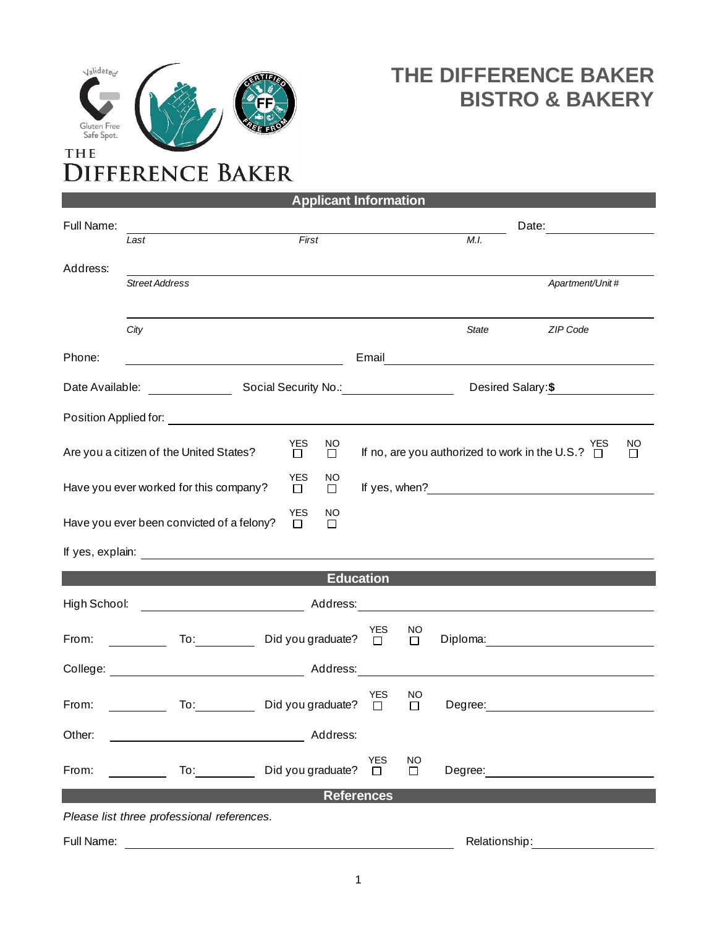

## **THE DIFFERENCE BAKER BISTRO & BAKERY**

| <b>Applicant Information</b>                                                      |                                                                                                                                                                                                                                                                                                                                                                                                                  |                              |                     |                   |                |                                                       |                                                                                                                                                                                                                                      |  |  |  |
|-----------------------------------------------------------------------------------|------------------------------------------------------------------------------------------------------------------------------------------------------------------------------------------------------------------------------------------------------------------------------------------------------------------------------------------------------------------------------------------------------------------|------------------------------|---------------------|-------------------|----------------|-------------------------------------------------------|--------------------------------------------------------------------------------------------------------------------------------------------------------------------------------------------------------------------------------------|--|--|--|
| Full Name:                                                                        |                                                                                                                                                                                                                                                                                                                                                                                                                  |                              |                     |                   |                |                                                       | Date:                                                                                                                                                                                                                                |  |  |  |
|                                                                                   | Last                                                                                                                                                                                                                                                                                                                                                                                                             | First                        |                     |                   |                | M.I.                                                  |                                                                                                                                                                                                                                      |  |  |  |
| Address:                                                                          |                                                                                                                                                                                                                                                                                                                                                                                                                  |                              |                     |                   |                |                                                       |                                                                                                                                                                                                                                      |  |  |  |
|                                                                                   | <b>Street Address</b>                                                                                                                                                                                                                                                                                                                                                                                            |                              |                     |                   |                |                                                       | Apartment/Unit#                                                                                                                                                                                                                      |  |  |  |
|                                                                                   |                                                                                                                                                                                                                                                                                                                                                                                                                  |                              |                     |                   |                |                                                       |                                                                                                                                                                                                                                      |  |  |  |
|                                                                                   | City                                                                                                                                                                                                                                                                                                                                                                                                             |                              |                     |                   |                | State                                                 | ZIP Code                                                                                                                                                                                                                             |  |  |  |
| Phone:                                                                            |                                                                                                                                                                                                                                                                                                                                                                                                                  |                              |                     |                   |                |                                                       | Email <b>Exercise Contract Contract Contract Contract Contract Contract Contract Contract Contract Contract Contract Contract Contract Contract Contract Contract Contract Contract Contract Contract Contract Contract Contract</b> |  |  |  |
|                                                                                   |                                                                                                                                                                                                                                                                                                                                                                                                                  |                              |                     |                   |                |                                                       | Desired Salary: \$                                                                                                                                                                                                                   |  |  |  |
|                                                                                   |                                                                                                                                                                                                                                                                                                                                                                                                                  |                              |                     |                   |                |                                                       |                                                                                                                                                                                                                                      |  |  |  |
|                                                                                   | Are you a citizen of the United States?                                                                                                                                                                                                                                                                                                                                                                          | <b>YES</b><br>$\Box$         | <b>NO</b><br>$\Box$ |                   |                | If no, are you authorized to work in the U.S.? $\Box$ | NO<br><b>YES</b><br>$\Box$                                                                                                                                                                                                           |  |  |  |
| <b>YES</b><br>NO<br>Have you ever worked for this company?<br>$\Box$<br>口         |                                                                                                                                                                                                                                                                                                                                                                                                                  |                              |                     |                   |                |                                                       |                                                                                                                                                                                                                                      |  |  |  |
| <b>YES</b><br>NO<br>Have you ever been convicted of a felony?<br>$\Box$<br>$\Box$ |                                                                                                                                                                                                                                                                                                                                                                                                                  |                              |                     |                   |                |                                                       |                                                                                                                                                                                                                                      |  |  |  |
|                                                                                   |                                                                                                                                                                                                                                                                                                                                                                                                                  |                              |                     |                   |                |                                                       |                                                                                                                                                                                                                                      |  |  |  |
| <b>Education</b>                                                                  |                                                                                                                                                                                                                                                                                                                                                                                                                  |                              |                     |                   |                |                                                       |                                                                                                                                                                                                                                      |  |  |  |
| High School:                                                                      |                                                                                                                                                                                                                                                                                                                                                                                                                  |                              |                     |                   |                |                                                       |                                                                                                                                                                                                                                      |  |  |  |
| From:                                                                             | <u> 1999 - Jan Jawa</u>                                                                                                                                                                                                                                                                                                                                                                                          | To: Did you graduate? $\Box$ |                     | <b>YES</b>        | NO<br>$\Box$   |                                                       |                                                                                                                                                                                                                                      |  |  |  |
|                                                                                   |                                                                                                                                                                                                                                                                                                                                                                                                                  |                              |                     |                   |                |                                                       |                                                                                                                                                                                                                                      |  |  |  |
| From:                                                                             |                                                                                                                                                                                                                                                                                                                                                                                                                  | To: Did you graduate?        |                     | YES<br>$\Box$     | NO<br>$\Box$   |                                                       | Degree: the contract of the contract of the contract of the contract of the contract of the contract of the contract of the contract of the contract of the contract of the contract of the contract of the contract of the co       |  |  |  |
| Other:                                                                            |                                                                                                                                                                                                                                                                                                                                                                                                                  |                              | Address:            |                   |                |                                                       |                                                                                                                                                                                                                                      |  |  |  |
| From:                                                                             | To: $\frac{1}{\sqrt{1-\frac{1}{2}}\sqrt{1-\frac{1}{2}}\sqrt{1-\frac{1}{2}}\sqrt{1-\frac{1}{2}}\sqrt{1-\frac{1}{2}}\sqrt{1-\frac{1}{2}}\sqrt{1-\frac{1}{2}}\sqrt{1-\frac{1}{2}}\sqrt{1-\frac{1}{2}}\sqrt{1-\frac{1}{2}}\sqrt{1-\frac{1}{2}}\sqrt{1-\frac{1}{2}}\sqrt{1-\frac{1}{2}}\sqrt{1-\frac{1}{2}}\sqrt{1-\frac{1}{2}}\sqrt{1-\frac{1}{2}}\sqrt{1-\frac{1}{2}}\sqrt{1-\frac{1}{2}}\sqrt{1-\frac{1}{2}}\sqrt$ | Did you graduate?            |                     | <b>YES</b><br>П   | <b>NO</b><br>□ | Degree:                                               |                                                                                                                                                                                                                                      |  |  |  |
|                                                                                   |                                                                                                                                                                                                                                                                                                                                                                                                                  |                              |                     | <b>References</b> |                |                                                       |                                                                                                                                                                                                                                      |  |  |  |
| Please list three professional references.                                        |                                                                                                                                                                                                                                                                                                                                                                                                                  |                              |                     |                   |                |                                                       |                                                                                                                                                                                                                                      |  |  |  |

Full Name: Relationship: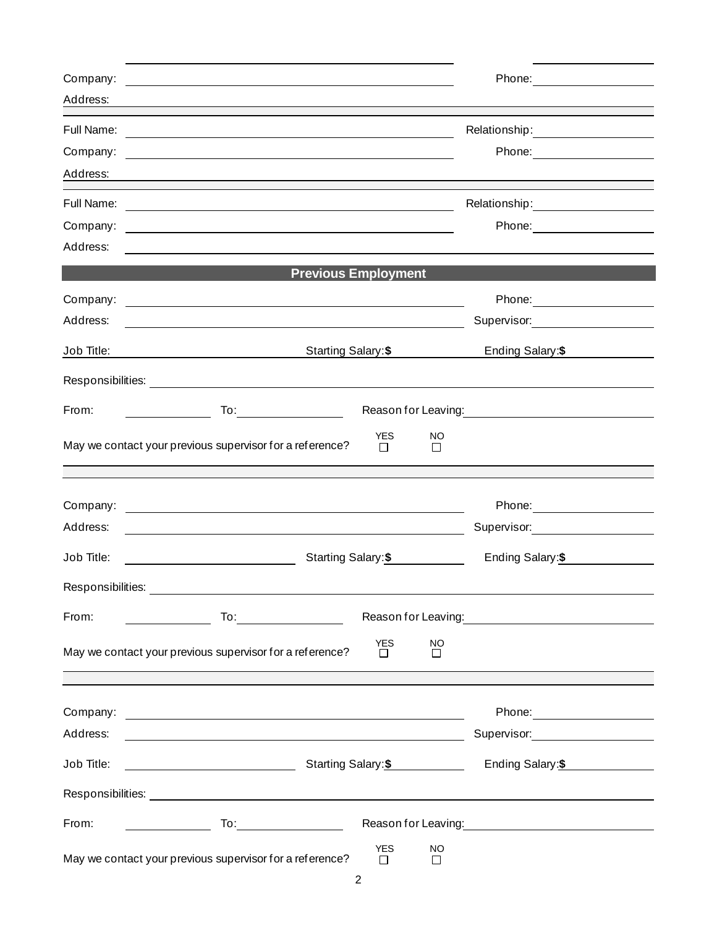| Company:          | <u> 1980 - John Stein, mars and de final de la propinsie de la propinsie de la propinsie de la propinsie de la p</u>                                                                                                          |                      |                | Phone: <u>_______________</u>                                                                                   |
|-------------------|-------------------------------------------------------------------------------------------------------------------------------------------------------------------------------------------------------------------------------|----------------------|----------------|-----------------------------------------------------------------------------------------------------------------|
| Address:          |                                                                                                                                                                                                                               |                      |                |                                                                                                                 |
| Full Name:        | <u> 1989 - John Stein, Amerikaansk politiker (</u>                                                                                                                                                                            |                      |                | Relationship: __________________                                                                                |
| Company:          | the control of the control of the control of the control of the control of the control of the control of the control of the control of the control of the control of the control of the control of the control of the control |                      |                | Phone: <u>_______________</u>                                                                                   |
| Address:          |                                                                                                                                                                                                                               |                      |                |                                                                                                                 |
| Full Name:        | <u> 1989 - Johann Barn, fransk politik (f. 1989)</u>                                                                                                                                                                          |                      |                |                                                                                                                 |
| Company:          | <u> 1980 - Andrea Barbara, amerikan basar dan berasal dalam berasal dalam berasal dalam berasal dalam berasal da</u>                                                                                                          |                      |                | Phone: <u>________________</u>                                                                                  |
| Address:          |                                                                                                                                                                                                                               |                      |                |                                                                                                                 |
|                   | <b>Previous Employment</b>                                                                                                                                                                                                    |                      |                |                                                                                                                 |
| Company:          | <u> 1989 - Johann Stoff, deutscher Stoffen und der Stoffen und der Stoffen und der Stoffen und der Stoffen und der</u>                                                                                                        |                      |                |                                                                                                                 |
| Address:          |                                                                                                                                                                                                                               |                      |                | Supervisor: <u>___________________</u>                                                                          |
| Job Title:        | Starting Salary: \$                                                                                                                                                                                                           |                      |                | Ending Salary:\$                                                                                                |
|                   |                                                                                                                                                                                                                               |                      |                |                                                                                                                 |
| From:             |                                                                                                                                                                                                                               |                      |                |                                                                                                                 |
|                   | May we contact your previous supervisor for a reference?                                                                                                                                                                      | <b>YES</b><br>$\Box$ | NO.<br>П       |                                                                                                                 |
|                   |                                                                                                                                                                                                                               |                      |                |                                                                                                                 |
| Company:          | <u> 1989 - Johann Barn, amerikan besteman besteman besteman besteman besteman besteman besteman besteman besteman</u>                                                                                                         |                      |                |                                                                                                                 |
| Address:          |                                                                                                                                                                                                                               |                      |                | Supervisor: __________________                                                                                  |
| Job Title:        | Starting Salary: \$<br><u> 1980 - Johann Barbara, martin a</u>                                                                                                                                                                |                      |                | Ending Salary:\$                                                                                                |
| Responsibilities: |                                                                                                                                                                                                                               |                      |                |                                                                                                                 |
| From:             |                                                                                                                                                                                                                               |                      |                | Reason for Leaving: 1990 and 200 million and 200 million and 200 million and 200 million and 200 million and 20 |
|                   | May we contact your previous supervisor for a reference?                                                                                                                                                                      | <b>YES</b><br>П      | <b>NO</b><br>П |                                                                                                                 |
|                   |                                                                                                                                                                                                                               |                      |                |                                                                                                                 |
| Company:          |                                                                                                                                                                                                                               |                      |                | Phone: __________________                                                                                       |
| Address:          | <u> 1989 - Johann Stoff, amerikansk politiker (d. 1989)</u>                                                                                                                                                                   |                      |                | Supervisor: New York Supervisor:                                                                                |
| Job Title:        |                                                                                                                                                                                                                               |                      |                | Ending Salary: \$                                                                                               |
|                   |                                                                                                                                                                                                                               |                      |                |                                                                                                                 |
| From:             | $\mathsf{To:}\hspace{-.15in} \_\hspace{.15in} \_\hspace{.15in} \_\hspace{.15in} \_\hspace{.15in} \_\hspace{.15in} \_\hspace{.15in}$                                                                                           |                      |                |                                                                                                                 |
|                   | May we contact your previous supervisor for a reference?                                                                                                                                                                      | <b>YES</b><br>П      | <b>NO</b><br>П |                                                                                                                 |